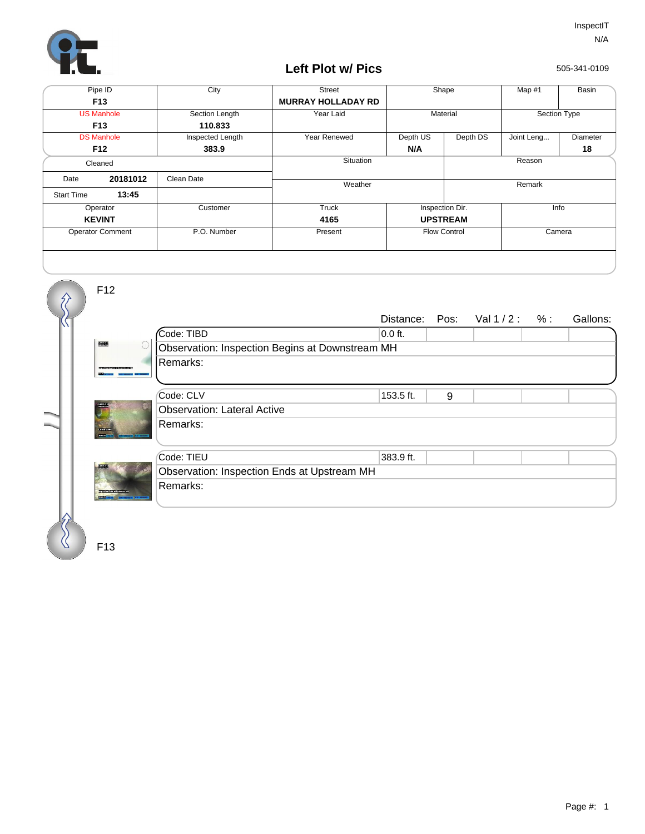

## **Left Plot w/ Pics**

505-341-0109

| Pipe ID                 |          | City             | <b>Street</b>             | Shape               |          | Map #1       | Basin    |
|-------------------------|----------|------------------|---------------------------|---------------------|----------|--------------|----------|
| F <sub>13</sub>         |          |                  | <b>MURRAY HOLLADAY RD</b> |                     |          |              |          |
| <b>US Manhole</b>       |          | Section Length   | Year Laid                 | Material            |          | Section Type |          |
| F <sub>13</sub>         |          | 110.833          |                           |                     |          |              |          |
| <b>DS Manhole</b>       |          | Inspected Length | Year Renewed              | Depth US            | Depth DS | Joint Leng   | Diameter |
| F <sub>12</sub>         |          | 383.9            |                           | N/A                 |          |              | 18       |
| Cleaned                 |          |                  | Situation                 |                     | Reason   |              |          |
| Date                    | 20181012 | Clean Date       | Weather                   |                     |          | Remark       |          |
| <b>Start Time</b>       | 13:45    |                  |                           |                     |          |              |          |
| Operator                |          | Customer         | Truck                     | Inspection Dir.     |          | Info         |          |
| <b>KEVINT</b>           |          |                  | 4165                      | <b>UPSTREAM</b>     |          |              |          |
| <b>Operator Comment</b> |          | P.O. Number      | Present                   | <b>Flow Control</b> |          | Camera       |          |
|                         |          |                  |                           |                     |          |              |          |



F13

F12